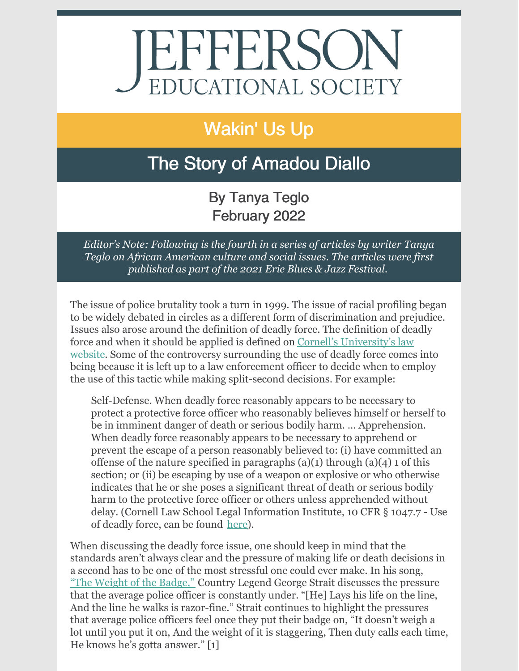# JEFFERSON

## Wakin' Us Up

## The Story of Amadou Diallo

By Tanya Teglo February 2022

*Editor's Note: Following is the fourth in a series of articles by writer Tanya Teglo on African American culture and social issues. The articles were first published as part of the 2021 Erie Blues & Jazz Festival.*

The issue of police brutality took a turn in 1999. The issue of racial profiling began to be widely debated in circles as a different form of discrimination and prejudice. Issues also arose around the definition of deadly force. The definition of deadly force and when it should be applied is defined on Cornell's [University's](https://www.law.cornell.edu/cfr/text/10/1047.7) law website. Some of the controversy surrounding the use of deadly force comes into being because it is left up to a law enforcement officer to decide when to employ the use of this tactic while making split-second decisions. For example:

Self-Defense. When deadly force reasonably appears to be necessary to protect a protective force officer who reasonably believes himself or herself to be in imminent danger of death or serious bodily harm. ... Apprehension. When deadly force reasonably appears to be necessary to apprehend or prevent the escape of a person reasonably believed to: (i) have committed an offense of the nature specified in paragraphs (a)(1) through (a)(4) 1 of this section; or (ii) be escaping by use of a weapon or explosive or who otherwise indicates that he or she poses a significant threat of death or serious bodily harm to the protective force officer or others unless apprehended without delay. (Cornell Law School Legal Information Institute, 10 CFR § 1047.7 - Use of deadly force, can be found [here](https://www.law.cornell.edu/cfr/text/10/1047.7)).

When discussing the deadly force issue, one should keep in mind that the standards aren't always clear and the pressure of making life or death decisions in a second has to be one of the most stressful one could ever make. In his song, "The Weight of the [Badge,"](https://www.youtube.com/watch?v=NBOHAy3qQGY) Country Legend George Strait discusses the pressure that the average police officer is constantly under. "[He] Lays his life on the line, And the line he walks is razor-fine." Strait continues to highlight the pressures that average police officers feel once they put their badge on, "It doesn't weigh a lot until you put it on, And the weight of it is staggering, Then duty calls each time, He knows he's gotta answer." [1]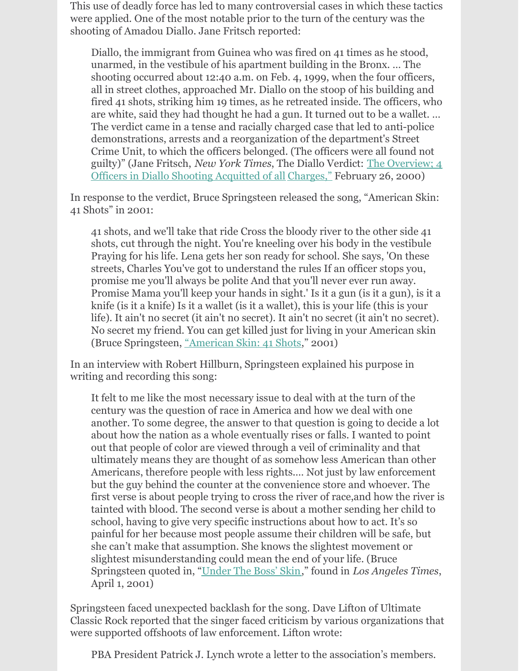This use of deadly force has led to many controversial cases in which these tactics were applied. One of the most notable prior to the turn of the century was the shooting of Amadou Diallo. Jane Fritsch reported:

Diallo, the immigrant from Guinea who was fired on 41 times as he stood, unarmed, in the vestibule of his apartment building in the Bronx. ... The shooting occurred about 12:40 a.m. on Feb. 4, 1999, when the four officers, all in street clothes, approached Mr. Diallo on the stoop of his building and fired 41 shots, striking him 19 times, as he retreated inside. The officers, who are white, said they had thought he had a gun. It turned out to be a wallet. ... The verdict came in a tense and racially charged case that led to anti-police demonstrations, arrests and a reorganization of the department's Street Crime Unit, to which the officers belonged. (The officers were all found not guilty)" (Jane Fritsch, *New York Times*, The Diallo Verdict: The [Overview;](https://www.nytimes.com/2000/02/26/nyregion/diallo-verdict-overview-4-officers-diallo-shooting-are-acquitted-all-charges.html) 4 Officers in Diallo Shooting [Acquitted](https://www.nytimes.com/2000/02/26/nyregion/diallo-verdict-overview-4-officers-diallo-shooting-are-acquitted-all-charges.html) of all [Charges,"](https://www.nytimes.com/2000/02/26/nyregion/diallo-verdict-overview-4-officers-diallo-shooting-are-acquitted-all-charges.html) February 26, 2000)

In response to the verdict, Bruce Springsteen released the song, "American Skin: 41 Shots" in 2001:

41 shots, and we'll take that ride Cross the bloody river to the other side 41 shots, cut through the night. You're kneeling over his body in the vestibule Praying for his life. Lena gets her son ready for school. She says, 'On these streets, Charles You've got to understand the rules If an officer stops you, promise me you'll always be polite And that you'll never ever run away. Promise Mama you'll keep your hands in sight.' Is it a gun (is it a gun), is it a knife (is it a knife) Is it a wallet (is it a wallet), this is your life (this is your life). It ain't no secret (it ain't no secret). It ain't no secret (it ain't no secret). No secret my friend. You can get killed just for living in your American skin (Bruce Springsteen, ["American](https://www.youtube.com/watch?v=aQMqWAiWPMs) Skin: 41 Shots," 2001)

In an interview with Robert Hillburn, Springsteen explained his purpose in writing and recording this song:

It felt to me like the most necessary issue to deal with at the turn of the century was the question of race in America and how we deal with one another. To some degree, the answer to that question is going to decide a lot about how the nation as a whole eventually rises or falls. I wanted to point out that people of color are viewed through a veil of criminality and that ultimately means they are thought of as somehow less American than other Americans, therefore people with less rights.... Not just by law enforcement but the guy behind the counter at the convenience store and whoever. The first verse is about people trying to cross the river of race, and how the river is tainted with blood. The second verse is about a mother sending her child to school, having to give very specific instructions about how to act. It's so painful for her because most people assume their children will be safe, but she can't make that assumption. She knows the slightest movement or slightest misunderstanding could mean the end of your life. (Bruce lllllllSpringsteen quoted in, ["Under](https://www.latimes.com/archives/la-xpm-2001-apr-01-ca-45336-story.html) The Boss' Skin," found in *Los Angeles Times*, April 1, 2001)

Springsteen faced unexpected backlash for the song. Dave Lifton of Ultimate Classic Rock reported that the singer faced criticism by various organizations that were supported offshoots of law enforcement. Lifton wrote:

PBA President Patrick J. Lynch wrote a letter to the association's members.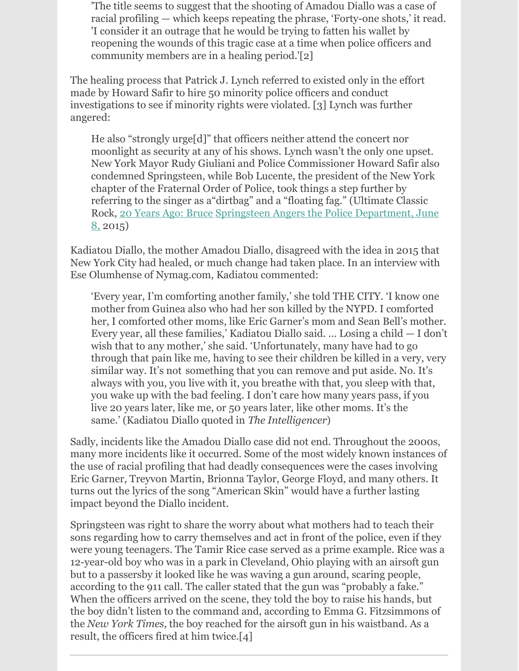The title seems to suggest that the shooting of Amadou Diallo was a case of racial profiling — which keeps repeating the phrase, 'Forty-one shots,' it read. If consider it an outrage that he would be trying to fatten his wallet by reopening the wounds of this tragic case at a time when police officers and community members are in a healing period.'[2]

The healing process that Patrick J. Lynch referred to existed only in the effort made by Howard Safir to hire 50 minority police officers and conduct investigations to see if minority rights were violated. [3] Lynch was further angered:

He also "strongly urge $[d]$ " that officers neither attend the concert nor moonlight as security at any of his shows. Lynch wasn't the only one upset. New York Mayor Rudy Giuliani and Police Commissioner Howard Safir also condemned Springsteen, while Bob Lucente, the president of the New York chapter of the Fraternal Order of Police, took things a step further by referring to the singer as a "dirtbag" and a "floating fag." (Ultimate Classic Rock, 20 Years Ago: [Bruce](https://ultimateclassicrock.com/bruce-springsteen-angers-new-york-police/) Springsteen Angers the Police [Department,](https://ultimateclassicrock.com/bruce-springsteen-angers-new-york-police/) June  $8, 2015$  $8, 2015$ 

Kadiatou Diallo, the mother Amadou Diallo, disagreed with the idea in 2015 that New York City had healed, or much change had taken place. In an interview with Ese Olumhense of Nymag.com, Kadiatou commented:

'Every year, I'm comforting another family,' she told THE CITY. 'I know one mother from Guinea also who had her son killed by the NYPD. I comforted her, I comforted other moms, like Eric Garner's mom and Sean Bell's mother. Every year, all these families,' Kadiatou Diallo said. ... Losing a child  $- I$  don't wish that to any mother,' she said. 'Unfortunately, many have had to go through that pain like me, having to see their children be killed in a very, very similar way. It's not something that you can remove and put aside. No. It's always with you, you live with it, you breathe with that, you sleep with that, you wake up with the bad feeling. I don't care how many years pass, if you live 20 years later, like me, or 50 years later, like other moms. It's the same.' (Kadiatou Diallo quoted in *The Intelligencer*)

Sadly, incidents like the Amadou Diallo case did not end. Throughout the 2000s, many more incidents like it occurred. Some of the most widely known instances of the use of racial profiling that had deadly consequences were the cases involving Eric Garner, Treyvon Martin, Brionna Taylor, George Floyd, and many others. It turns out the lyrics of the song "American Skin" would have a further lasting impact beyond the Diallo incident.

Springsteen was right to share the worry about what mothers had to teach their sons regarding how to carry themselves and act in front of the police, even if they were young teenagers. The Tamir Rice case served as a prime example. Rice was a 12-year-old boy who was in a park in Cleveland, Ohio playing with an airsoft gun but to a passersby it looked like he was waving a gun around, scaring people, according to the 911 call. The caller stated that the gun was "probably a fake." When the officers arrived on the scene, they told the boy to raise his hands, but the boy didn't listen to the command and, according to Emma G. Fitzsimmons of the *New York Times,* the boy reached for the airsoft gun in his waistband. As a result, the officers fired at him twice.[4]